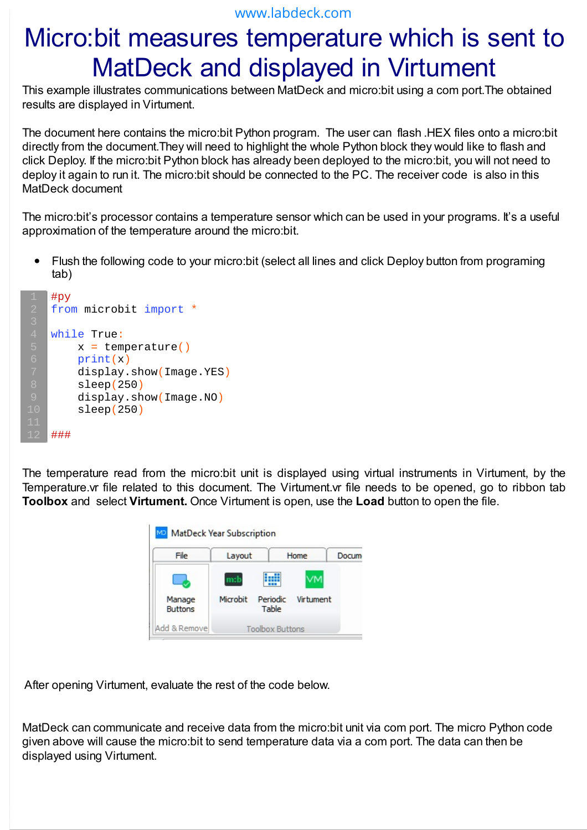## Micro:bit measures temperature which is sent to MatDeck and displayed in Virtument

This example illustrates communications between MatDeck and micro:bit using a com port.The obtained results are displayed in Virtument.

The document here contains the micro:bit Python program. The user can flash .HEX files onto a micro:bit directly from the document.They will need to highlight the whole Python block they would like to flash and click Deploy. If the micro:bit Python block has already been deployed to the micro:bit, you will not need to deploy it again to run it. The micro:bit should be connected to the PC. The receiver code is also in this MatDeck document

The micro:bit's processor contains a temperature sensor which can be used in your programs. It's a useful approximation of the temperature around the micro:bit.

Flush the following code to your micro:bit (select all lines and click Deploy button from programing  $\bullet$ tab)

```
#py
from microbit import *
while True:
    x = temperature()
    print(x)
     display.show(Image.YES)
     sleep(250)
     display.show(Image.NO)
     sleep(250)
###
```
The temperature read from the micro:bit unit is displayed using virtual instruments in Virtument, by the Temperature.vr file related to this document. The Virtument.vr file needs to be opened, go to ribbon tab **Toolbox** and select **Virtument.** Once Virtument is open, use the **Load** button to open the file.



After opening Virtument, evaluate the rest of the code below.

MatDeck can communicate and receive data from the micro:bit unit via com port. The micro Python code given above will cause the micro:bit to send temperature data via a com port. The data can then be displayed using Virtument.